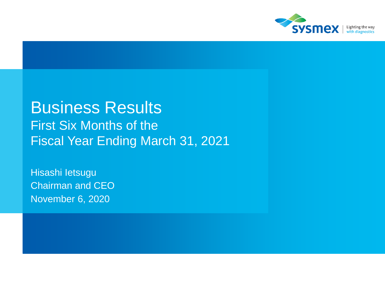

## Business Results First Six Months of the Fiscal Year Ending March 31, 2021

Hisashi Ietsugu Chairman and CEO November 6, 2020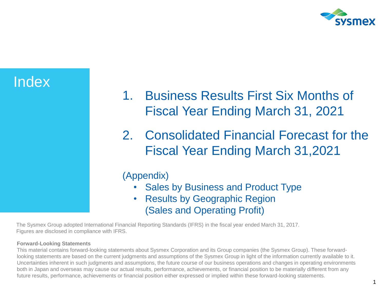

## Index

- 1. Business Results First Six Months of Fiscal Year Ending March 31, 2021
- 2. Consolidated Financial Forecast for the Fiscal Year Ending March 31,2021

### (Appendix)

- Sales by Business and Product Type
- Results by Geographic Region (Sales and Operating Profit)

The Sysmex Group adopted International Financial Reporting Standards (IFRS) in the fiscal year ended March 31, 2017. Figures are disclosed in compliance with IFRS.

#### **Forward-Looking Statements**

This material contains forward-looking statements about Sysmex Corporation and its Group companies (the Sysmex Group). These forwardlooking statements are based on the current judgments and assumptions of the Sysmex Group in light of the information currently available to it. Uncertainties inherent in such judgments and assumptions, the future course of our business operations and changes in operating environments both in Japan and overseas may cause our actual results, performance, achievements, or financial position to be materially different from any future results, performance, achievements or financial position either expressed or implied within these forward-looking statements.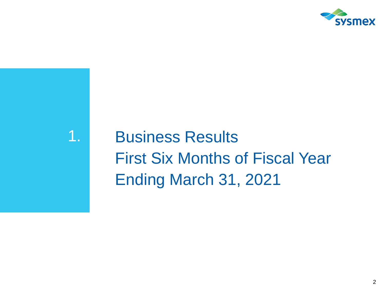

# 1. Business Results First Six Months of Fiscal Year Ending March 31, 2021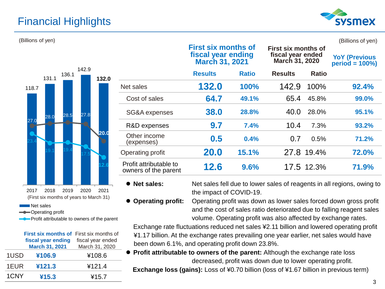## Financial Highlights



#### (Billions of yen) (Billions of yen)

| 118.7             | 131.1                                           | 136.1 | 142.9 | 132.0 |
|-------------------|-------------------------------------------------|-------|-------|-------|
| 27.0              | 28.0                                            | 28.5  | 27.8  |       |
| 23.4              |                                                 |       |       | 20.0  |
|                   | 19.1                                            | 19.4  | 17.5  | 12.6  |
| 2017<br>Net sales | 2018<br>(First six months of years to March 31) | 2019  | 2020  | 2021  |

Operating profit

Profit attributable to owners of the parent

|      | <b>First six months of First six months of</b> |                   |
|------|------------------------------------------------|-------------------|
|      | fiscal year ending                             | fiscal year ended |
|      | <b>March 31, 2021</b>                          | March 31, 2020    |
| 1USD | ¥106.9                                         | ¥108.6            |
| 1EUR | ¥121.3                                         | ¥121.4            |
| 1CNY | ¥15.3                                          | ¥15.7             |

|                                                | fiscal year ending<br><b>March 31, 2021</b> |              | וט טווויטווי אוט יו<br>fiscal year ended<br>March 31, 2020 |              | <b>YoY (Previous</b><br>$period = 100\%)$ |  |
|------------------------------------------------|---------------------------------------------|--------------|------------------------------------------------------------|--------------|-------------------------------------------|--|
|                                                | <b>Results</b>                              | <b>Ratio</b> | <b>Results</b>                                             | <b>Ratio</b> |                                           |  |
| Net sales                                      | 132.0                                       | 100%         | 142.9                                                      | 100%         | 92.4%                                     |  |
| Cost of sales                                  | 64.7                                        | 49.1%        | 65.4                                                       | 45.8%        | 99.0%                                     |  |
| SG&A expenses                                  | 38.0                                        | 28.8%        | 40.0                                                       | 28.0%        | 95.1%                                     |  |
| R&D expenses                                   | 9.7                                         | 7.4%         | 10.4                                                       | 7.3%         | 93.2%                                     |  |
| Other income<br>(expenses)                     | 0.5                                         | 0.4%         | 0.7                                                        | 0.5%         | 71.2%                                     |  |
| Operating profit                               | 20.0                                        | 15.1%        |                                                            | 27.8 19.4%   | 72.0%                                     |  |
| Profit attributable to<br>owners of the parent | 12.6                                        | 9.6%         |                                                            | 17.5 12.3%   | 71.9%                                     |  |

**First six months of** 

● **Net sales:** Net sales fell due to lower sales of reagents in all regions, owing to the impact of COVID-19.

**First six months of** 

⚫ **Operating profit:** Operating profit was down as lower sales forced down gross profit and the cost of sales ratio deteriorated due to falling reagent sales volume. Operating profit was also affected by exchange rates.

Exchange rate fluctuations reduced net sales ¥2.11 billion and lowered operating profit ¥1.17 billion. At the exchange rates prevailing one year earlier, net sales would have been down 6.1%, and operating profit down 23.8%.

⚫ **Profit attributable to owners of the parent:** Although the exchange rate loss decreased, profit was down due to lower operating profit.

**Exchange loss (gains):** Loss of ¥0.70 billion (loss of ¥1.67 billion in previous term)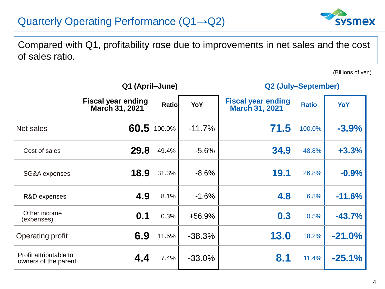## Quarterly Operating Performance (Q1→Q2)



Compared with Q1, profitability rose due to improvements in net sales and the cost of sales ratio.

(Billions of yen)

|                                                | Q1 (April-June)                                    |              |           | Q2 (July-September)                                |              |          |  |
|------------------------------------------------|----------------------------------------------------|--------------|-----------|----------------------------------------------------|--------------|----------|--|
|                                                | <b>Fiscal year ending</b><br><b>March 31, 2021</b> | <b>Ratio</b> | YoY       | <b>Fiscal year ending</b><br><b>March 31, 2021</b> | <b>Ratio</b> | YoY      |  |
| Net sales                                      |                                                    | 60.5 100.0%  | $-11.7%$  | 71.5                                               | 100.0%       | $-3.9%$  |  |
| Cost of sales                                  | 29.8                                               | 49.4%        | $-5.6%$   | 34.9                                               | 48.8%        | $+3.3%$  |  |
| SG&A expenses                                  | 18.9                                               | 31.3%        | $-8.6%$   | <b>19.1</b>                                        | 26.8%        | $-0.9%$  |  |
| R&D expenses                                   | 4.9                                                | 8.1%         | $-1.6%$   | 4.8                                                | 6.8%         | $-11.6%$ |  |
| Other income<br>(expenses)                     | 0.1                                                | 0.3%         | +56.9%    | 0.3                                                | 0.5%         | $-43.7%$ |  |
| Operating profit                               | 6.9                                                | 11.5%        | $-38.3%$  | 13.0                                               | 18.2%        | $-21.0%$ |  |
| Profit attributable to<br>owners of the parent | 4.4                                                | 7.4%         | $-33.0\%$ | 8.1                                                | 11.4%        | $-25.1%$ |  |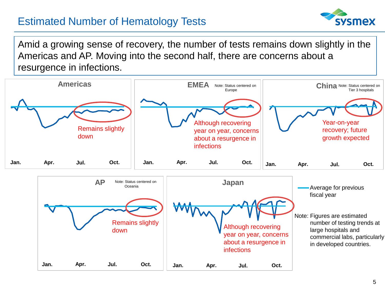## Estimated Number of Hematology Tests



Amid a growing sense of recovery, the number of tests remains down slightly in the Americas and AP. Moving into the second half, there are concerns about a resurgence in infections.



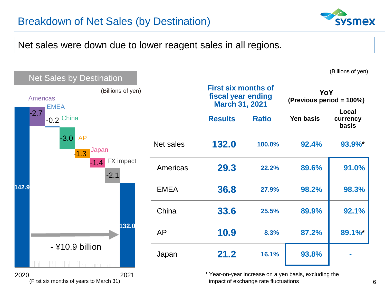



2020 2021

\* Year-on-year increase on a yen basis, excluding the impact of exchange rate fluctuations (First six months of years to March 31) 6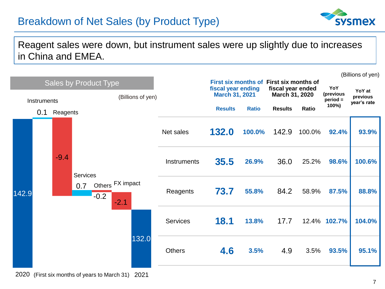## Breakdown of Net Sales (by Product Type)



### Reagent sales were down, but instrument sales were up slightly due to increases in China and EMEA.

|                                                                  |     |          |                                                                                        |              |                                     |               |                     |                    |        |        |       | (Billions of yen) |
|------------------------------------------------------------------|-----|----------|----------------------------------------------------------------------------------------|--------------|-------------------------------------|---------------|---------------------|--------------------|--------|--------|-------|-------------------|
| <b>Sales by Product Type</b><br>(Billions of yen)<br>Instruments |     |          | First six months of First six months of<br>fiscal year ending<br><b>March 31, 2021</b> |              | fiscal year ended<br>March 31, 2020 |               | YoY<br>(previous    | YoY at<br>previous |        |        |       |                   |
|                                                                  |     |          | <b>Results</b>                                                                         | <b>Ratio</b> | <b>Results</b>                      | <b>Ratio</b>  | $period =$<br>100%) | year's rate        |        |        |       |                   |
|                                                                  | 0.1 | Reagents |                                                                                        |              |                                     |               |                     |                    |        |        |       |                   |
|                                                                  |     |          |                                                                                        |              |                                     | Net sales     | 132.0               | 100.0%             | 142.9  | 100.0% | 92.4% | 93.9%             |
|                                                                  |     | $-9.4$   | Services                                                                               |              |                                     | Instruments   | 35.5                | 26.9%              | 36.0   | 25.2%  | 98.6% | 100.6%            |
| 142.9                                                            |     |          | 0.7                                                                                    | $-0.2$       | Others FX impact<br>$-2.1$          | Reagents      | 73.7                | 55.8%              | 84.2   | 58.9%  | 87.5% | 88.8%             |
|                                                                  |     |          | <b>Services</b>                                                                        | <b>18.1</b>  | 13.8%                               | 17.7          |                     | 12.4% 102.7%       | 104.0% |        |       |                   |
|                                                                  |     |          |                                                                                        |              | 132.0                               | <b>Others</b> | 4.6                 | 3.5%               | 4.9    | 3.5%   | 93.5% | 95.1%             |

2020 (First six months of years to March 31) 2021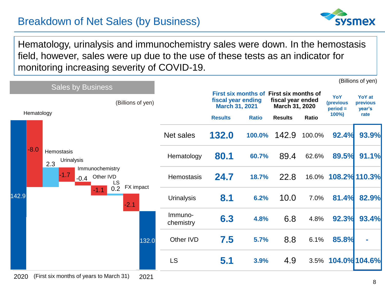## Breakdown of Net Sales (by Business)



Hematology, urinalysis and immunochemistry sales were down. In the hemostasis field, however, sales were up due to the use of these tests as an indicator for monitoring increasing severity of COVID-19.

|       | <b>Sales by Business</b>                         |                              |                      |                                                               |                                                         |                                                       |              |                                                 | (Billions of yen)                           |
|-------|--------------------------------------------------|------------------------------|----------------------|---------------------------------------------------------------|---------------------------------------------------------|-------------------------------------------------------|--------------|-------------------------------------------------|---------------------------------------------|
|       | Hematology                                       | (Billions of yen)            |                      | fiscal year ending<br><b>March 31, 2021</b><br><b>Results</b> | First six months of First six months of<br><b>Ratio</b> | fiscal year ended<br>March 31, 2020<br><b>Results</b> | <b>Ratio</b> | YoY<br><i>(previous)</i><br>$period =$<br>100%) | <b>YoY</b> at<br>previous<br>year's<br>rate |
|       |                                                  |                              | Net sales            | 132.0                                                         | 100.0%                                                  | 142.9                                                 | 100.0%       | 92.4%                                           | 93.9%                                       |
|       | $-8.0$<br>Hemostasis<br><b>Urinalysis</b><br>2.3 |                              | Hematology           | 80.1                                                          | 60.7%                                                   | 89.4                                                  | 62.6%        | 89.5%                                           | 91.1%                                       |
|       | Immunochemistry<br>$-1.7$<br>$-0.4$              | Other IVD<br>LS<br>FX impact | Hemostasis           | 24.7                                                          | 18.7%                                                   | 22.8                                                  |              | 16.0% 108.2% 110.3%                             |                                             |
| 142.9 | $-1.1$                                           | 0.2<br>$-2.1$                | <b>Urinalysis</b>    | 8.1                                                           | 6.2%                                                    | 10.0                                                  | 7.0%         | 81.4%                                           | 82.9%                                       |
|       |                                                  |                              | Immuno-<br>chemistry | 6.3                                                           | 4.8%                                                    | 6.8                                                   | 4.8%         | 92.3%                                           | 93.4%                                       |
|       |                                                  | 132.0                        | Other IVD            | 7.5                                                           | 5.7%                                                    | 8.8                                                   | 6.1%         | 85.8%                                           | ٠                                           |
|       |                                                  |                              | <b>LS</b>            | 5.1                                                           | 3.9%                                                    | 4.9                                                   |              | 3.5% 104.0% 104.6%                              |                                             |
| 2020  | (First six months of years to March 31)          | 2021                         |                      |                                                               |                                                         |                                                       |              |                                                 |                                             |

8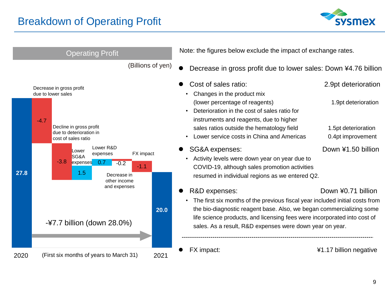

|      | <b>Operating Profit</b>                                                                                                                    | Note: the figures below exclude the impact of exchange rates.                                                                                                                                                                                                                                |                                          |
|------|--------------------------------------------------------------------------------------------------------------------------------------------|----------------------------------------------------------------------------------------------------------------------------------------------------------------------------------------------------------------------------------------------------------------------------------------------|------------------------------------------|
|      | (Billions of yen)                                                                                                                          | Decrease in gross profit due to lower sales: Down ¥4.76 billion                                                                                                                                                                                                                              |                                          |
|      | Decrease in gross profit<br>due to lower sales                                                                                             | Cost of sales ratio:<br>Changes in the product mix                                                                                                                                                                                                                                           | 2.9pt deterioration                      |
|      | $-4.7$                                                                                                                                     | (lower percentage of reagents)<br>Deterioration in the cost of sales ratio for<br>$\bullet$<br>instruments and reagents, due to higher                                                                                                                                                       | 1.9pt deterioration                      |
|      | Decline in gross profit<br>due to deterioration in<br>cost of sales ratio                                                                  | sales ratios outside the hematology field<br>Lower service costs in China and Americas                                                                                                                                                                                                       | 1.5pt deterioration<br>0.4pt improvement |
| 27.8 | Lower R&D<br>_ower<br>FX impact<br>expenses<br>SG&A<br>$-3.8$<br>expenses<br>0.7<br>$-0.2$<br>$-1.1$<br>1.5<br>Decrease in<br>other income | SG&A expenses:<br>Activity levels were down year on year due to<br>COVID-19, although sales promotion activities<br>resumed in individual regions as we entered Q2.                                                                                                                          | Down ¥1.50 billion                       |
|      | and expenses                                                                                                                               | R&D expenses:                                                                                                                                                                                                                                                                                | Down ¥0.71 billion                       |
|      | 20.0<br>$-47.7$ billion (down 28.0%)                                                                                                       | The first six months of the previous fiscal year included initial costs from<br>the bio-diagnostic reagent base. Also, we began commercializing some<br>life science products, and licensing fees were incorporated into cost of<br>sales. As a result, R&D expenses were down year on year. |                                          |
| 2020 | (First six months of years to March 31)<br>2021                                                                                            | FX impact:                                                                                                                                                                                                                                                                                   | ¥1.17 billion negative                   |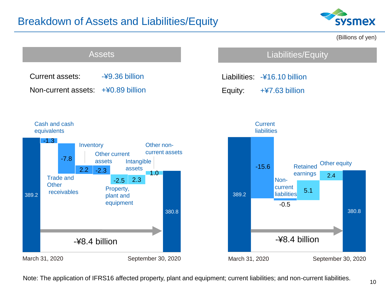## Breakdown of Assets and Liabilities/Equity





Note: The application of IFRS16 affected property, plant and equipment; current liabilities; and non-current liabilities.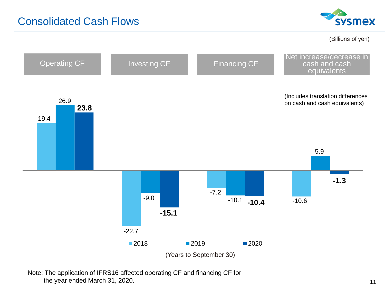

(Billions of yen)



Note: The application of IFRS16 affected operating CF and financing CF for the year ended March 31, 2020. 11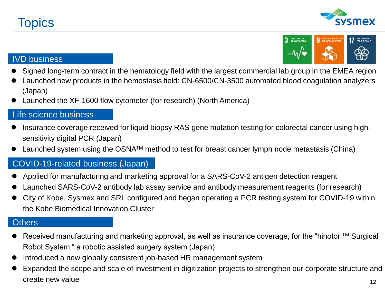



#### IVD business

- ⚫ Signed long-term contract in the hematology field with the largest commercial lab group in the EMEA region
- ⚫ Launched new products in the hemostasis field: CN-6500/CN-3500 automated blood coagulation analyzers (Japan)
- ⚫ Launched the XF-1600 flow cytometer (for research) (North America)

#### Life science business

- ⚫ Insurance coverage received for liquid biopsy RAS gene mutation testing for colorectal cancer using highsensitivity digital PCR (Japan)
- Launched system using the OSNA<sup>TM</sup> method to test for breast cancer lymph node metastasis (China)

#### COVID-19-related business (Japan)

- Applied for manufacturing and marketing approval for a SARS-CoV-2 antigen detection reagent
- ⚫ Launched SARS-CoV-2 antibody lab assay service and antibody measurement reagents (for research)
- ⚫ City of Kobe, Sysmex and SRL configured and began operating a PCR testing system for COVID-19 within the Kobe Biomedical Innovation Cluster

### **Others**

- Received manufacturing and marketing approval, as well as insurance coverage, for the "hinotori™ Surgical Robot System," a robotic assisted surgery system (Japan)
- ⚫ Introduced a new globally consistent job-based HR management system
- 12 ⚫ Expanded the scope and scale of investment in digitization projects to strengthen our corporate structure and create new value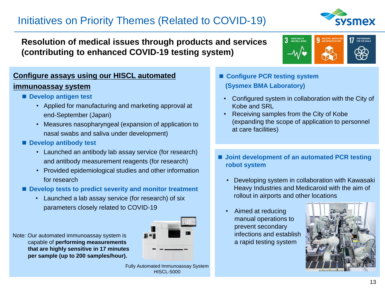## Initiatives on Priority Themes (Related to COVID-19)



### **Resolution of medical issues through products and services (contributing to enhanced COVID-19 testing system)**



### **Configure assays using our HISCL automated**

#### **immunoassay system**

- **Develop antigen test** 
	- Applied for manufacturing and marketing approval at end-September (Japan)
	- Measures nasopharyngeal (expansion of application to nasal swabs and saliva under development)
- **Develop antibody test** 
	- Launched an antibody lab assay service (for research) and antibody measurement reagents (for research)
	- Provided epidemiological studies and other information for research
- Develop tests to predict severity and monitor treatment
	- Launched a lab assay service (for research) of six parameters closely related to COVID-19



Note: Our automated immunoassay system is capable of **performing measurements that are highly sensitive in 17 minutes per sample (up to 200 samples/hour).**

> Fully Automated Immunoassay System HISCL-5000

- **Configure PCR testing system (Sysmex BMA Laboratory)**
	- Configured system in collaboration with the City of Kobe and SRL
	- Receiving samples from the City of Kobe (expanding the scope of application to personnel at care facilities)
- **Joint development of an automated PCR testing robot system**
	- Developing system in collaboration with Kawasaki Heavy Industries and Medicaroid with the aim of rollout in airports and other locations
	- Aimed at reducing manual operations to prevent secondary infections and establish a rapid testing system

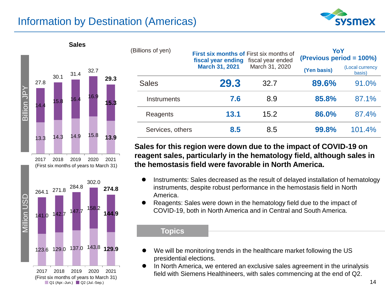## Information by Destination (Americas)





■ Q1 (Apr.-Jun.) ■ Q2 (Jul.-Sep.)

| (Billions of yen) | First six months of First six months of<br>fiscal year ending fiscal year ended |                | YoY<br>(Previous period = 100%)          |       |  |
|-------------------|---------------------------------------------------------------------------------|----------------|------------------------------------------|-------|--|
|                   | <b>March 31, 2021</b>                                                           | March 31, 2020 | (Local currency<br>(Yen basis)<br>basis) |       |  |
| <b>Sales</b>      | 29.3                                                                            | 32.7           | 89.6%                                    | 91.0% |  |
| Instruments       | 7.6                                                                             | 8.9            | 85.8%                                    | 87.1% |  |
| Reagents          | 13.1                                                                            | 15.2           | 86.0%                                    | 87.4% |  |
|                   |                                                                                 |                |                                          |       |  |

#### **Sales for this region were down due to the impact of COVID-19 on reagent sales, particularly in the hematology field, although sales in the hemostasis field were favorable in North America.**

Services, others **8.5** 8.5 **99.8%** 101.4%

- Instruments: Sales decreased as the result of delayed installation of hematology instruments, despite robust performance in the hemostasis field in North America.
- ⚫ Reagents: Sales were down in the hematology field due to the impact of COVID-19, both in North America and in Central and South America.

#### **Topics**

- ⚫ We will be monitoring trends in the healthcare market following the US presidential elections.
- ⚫ In North America, we entered an exclusive sales agreement in the urinalysis field with Siemens Healthineers, with sales commencing at the end of Q2.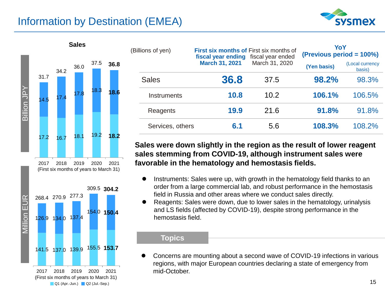## Information by Destination (EMEA)





| llions of yen)     | <b>First six months of First six months of</b><br>fiscal year ended<br>fiscal year ending<br><b>March 31, 2021</b><br>March 31, 2020 |      | YoY<br>(Previous period = 100%) |                           |  |
|--------------------|--------------------------------------------------------------------------------------------------------------------------------------|------|---------------------------------|---------------------------|--|
|                    |                                                                                                                                      |      | (Yen basis)                     | (Local currency<br>basis) |  |
| <b>Sales</b>       | 36.8                                                                                                                                 | 37.5 | 98.2%                           | 98.3%                     |  |
| <b>Instruments</b> | 10.8                                                                                                                                 | 10.2 | 106.1%                          | 106.5%                    |  |
| Reagents           | 19.9                                                                                                                                 | 21.6 | 91.8%                           | 91.8%                     |  |
| Services, others   | 6.1                                                                                                                                  | 5.6  | 108.3%                          | 108.2%                    |  |

#### **Sales were down slightly in the region as the result of lower reagent sales stemming from COVID-19, although instrument sales were favorable in the hematology and hemostasis fields.**

- Instruments: Sales were up, with growth in the hematology field thanks to an order from a large commercial lab, and robust performance in the hemostasis field in Russia and other areas where we conduct sales directly.
- ⚫ Reagents: Sales were down, due to lower sales in the hematology, urinalysis and LS fields (affected by COVID-19), despite strong performance in the hemostasis field.

#### **Topics**

⚫ Concerns are mounting about a second wave of COVID-19 infections in various regions, with major European countries declaring a state of emergency from mid-October.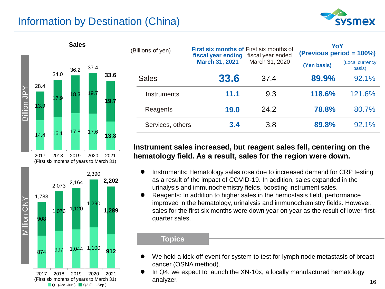## Information by Destination (China)







| (Billions of yen) |                  | <b>First six months of First six months of</b><br>fiscal year ending | fiscal year ended | YoY<br>(Previous period = 100%) |                           |  |
|-------------------|------------------|----------------------------------------------------------------------|-------------------|---------------------------------|---------------------------|--|
|                   |                  | <b>March 31, 2021</b>                                                | March 31, 2020    | (Yen basis)                     | (Local currency<br>basis) |  |
|                   | <b>Sales</b>     | 33.6                                                                 | 37.4              | 89.9%                           | 92.1%                     |  |
|                   | Instruments      | 11.1                                                                 | 9.3               | 118.6%                          | 121.6%                    |  |
|                   | Reagents         | 19.0                                                                 | 24.2              | 78.8%                           | 80.7%                     |  |
|                   | Services, others | 3.4                                                                  | 3.8               | 89.8%                           | 92.1%                     |  |

#### **Instrument sales increased, but reagent sales fell, centering on the hematology field. As a result, sales for the region were down.**

- ⚫ Instruments: Hematology sales rose due to increased demand for CRP testing as a result of the impact of COVID-19. In addition, sales expanded in the urinalysis and immunochemistry fields, boosting instrument sales.
- ⚫ Reagents: In addition to higher sales in the hemostasis field, performance improved in the hematology, urinalysis and immunochemistry fields. However, sales for the first six months were down year on year as the result of lower firstquarter sales.

#### **Topics**

- We held a kick-off event for system to test for lymph node metastasis of breast cancer (OSNA method).
- ⚫ In Q4, we expect to launch the XN-10x, a locally manufactured hematology analyzer. 16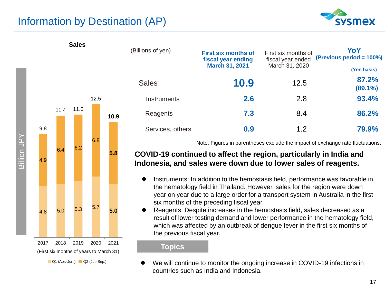## Information by Destination (AP)

**Sales**





|          | (Billions of yen) | <b>First six months of</b><br>fiscal year ending<br><b>March 31, 2021</b> | First six months of<br>fiscal year ended<br>March 31, 2020 | YoY<br>(Previous period = 100%) |  |
|----------|-------------------|---------------------------------------------------------------------------|------------------------------------------------------------|---------------------------------|--|
|          | <b>Sales</b>      | 10.9                                                                      | 12.5                                                       | (Yen basis)<br>87.2%<br>(89.1%) |  |
|          | Instruments       | 2.6                                                                       | 2.8                                                        | 93.4%                           |  |
| Reagents |                   | 7.3                                                                       | 8.4                                                        | 86.2%                           |  |
|          | Services, others  | 0.9                                                                       | 12                                                         | 79.9%                           |  |

Note: Figures in parentheses exclude the impact of exchange rate fluctuations.

#### **COVID-19 continued to affect the region, particularly in India and Indonesia, and sales were down due to lower sales of reagents.**

- ⚫ Instruments: In addition to the hemostasis field, performance was favorable in the hematology field in Thailand. However, sales for the region were down year on year due to a large order for a transport system in Australia in the first six months of the preceding fiscal year.
- ⚫ Reagents: Despite increases in the hemostasis field, sales decreased as a result of lower testing demand and lower performance in the hematology field, which was affected by an outbreak of dengue fever in the first six months of the previous fiscal year.

#### **Topics**

⚫ We will continue to monitor the ongoing increase in COVID-19 infections in countries such as India and Indonesia.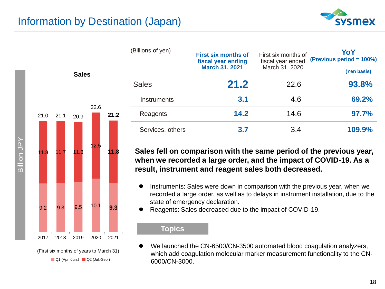



(Billions of yen) **First six months of fiscal year ending March 31, 2021** First six months of fiscal year ended March 31, 2020 **YoY (Previous period = 100%) (Yen basis)** Sales **21.2** 22.6 **93.8%** Instruments **3.1** 4.6 **69.2%**  Reagents **14.2** 14.6 **97.7%** Services, others **3.7** 3.4 **109.9%**

**Sales fell on comparison with the same period of the previous year, when we recorded a large order, and the impact of COVID-19. As a result, instrument and reagent sales both decreased.**

- ⚫ Instruments: Sales were down in comparison with the previous year, when we recorded a large order, as well as to delays in instrument installation, due to the state of emergency declaration.
- ⚫ Reagents: Sales decreased due to the impact of COVID-19.

#### **Topics**

We launched the CN-6500/CN-3500 automated blood coagulation analyzers, which add coagulation molecular marker measurement functionality to the CN-6000/CN-3000.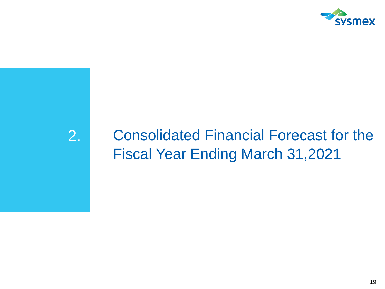

## 2. Consolidated Financial Forecast for the Fiscal Year Ending March 31,2021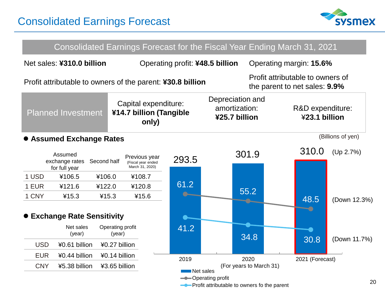

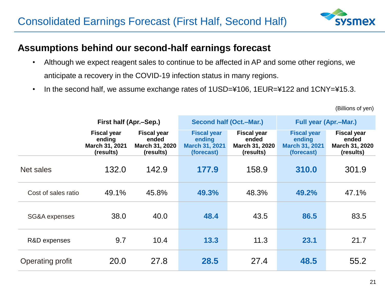

### **Assumptions behind our second-half earnings forecast**

- Although we expect reagent sales to continue to be affected in AP and some other regions, we anticipate a recovery in the COVID-19 infection status in many regions.
- In the second half, we assume exchange rates of 1USD=¥106, 1EUR=¥122 and 1CNY=¥15.3.

|                     | First half (Apr.–Sep.)                                      |                                                            | <b>Second half (Oct.-Mar.)</b>                                      |                                                            | <b>Full year (Apr.–Mar.)</b>                                        |                                                            |
|---------------------|-------------------------------------------------------------|------------------------------------------------------------|---------------------------------------------------------------------|------------------------------------------------------------|---------------------------------------------------------------------|------------------------------------------------------------|
|                     | <b>Fiscal year</b><br>ending<br>March 31, 2021<br>(results) | <b>Fiscal year</b><br>ended<br>March 31, 2020<br>(results) | <b>Fiscal year</b><br>ending<br><b>March 31, 2021</b><br>(forecast) | <b>Fiscal year</b><br>ended<br>March 31, 2020<br>(results) | <b>Fiscal year</b><br>ending<br><b>March 31, 2021</b><br>(forecast) | <b>Fiscal year</b><br>ended<br>March 31, 2020<br>(results) |
| Net sales           | 132.0                                                       | 142.9                                                      | 177.9                                                               | 158.9                                                      | 310.0                                                               | 301.9                                                      |
| Cost of sales ratio | 49.1%                                                       | 45.8%                                                      | 49.3%                                                               | 48.3%                                                      | 49.2%                                                               | 47.1%                                                      |
| SG&A expenses       | 38.0                                                        | 40.0                                                       | 48.4                                                                | 43.5                                                       | 86.5                                                                | 83.5                                                       |
| R&D expenses        | 9.7                                                         | 10.4                                                       | 13.3                                                                | 11.3                                                       | 23.1                                                                | 21.7                                                       |
| Operating profit    | 20.0                                                        | 27.8                                                       | 28.5                                                                | 27.4                                                       | 48.5                                                                | 55.2                                                       |

(Billions of yen)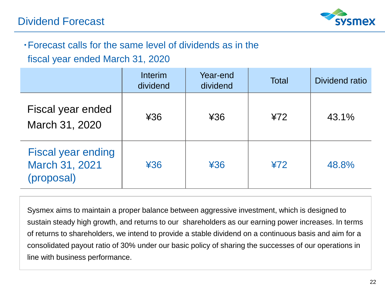

## ・Forecast calls for the same level of dividends as in the

fiscal year ended March 31, 2020

|                                                           | <b>Interim</b><br>dividend | Year-end<br>dividend | <b>Total</b> | Dividend ratio |
|-----------------------------------------------------------|----------------------------|----------------------|--------------|----------------|
| Fiscal year ended<br>March 31, 2020                       | 436                        | ¥36                  | 472          | 43.1%          |
| <b>Fiscal year ending</b><br>March 31, 2021<br>(proposal) | 436                        | ¥36                  | 472          | 48.8%          |

Sysmex aims to maintain a proper balance between aggressive investment, which is designed to sustain steady high growth, and returns to our shareholders as our earning power increases. In terms of returns to shareholders, we intend to provide a stable dividend on a continuous basis and aim for a consolidated payout ratio of 30% under our basic policy of sharing the successes of our operations in line with business performance.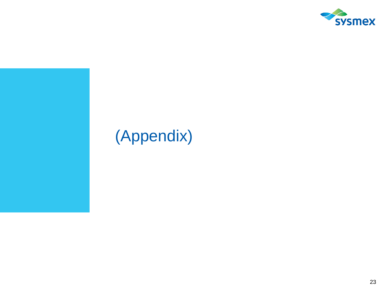

## (Appendix)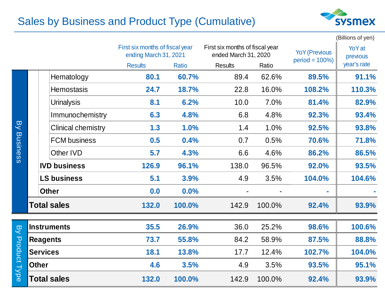## Sales by Business and Product Type (Cumulative)



|                             |                    |                           |                                                          |              |                                                         |        |                                           | (Billions of yen)         |
|-----------------------------|--------------------|---------------------------|----------------------------------------------------------|--------------|---------------------------------------------------------|--------|-------------------------------------------|---------------------------|
|                             |                    |                           | First six months of fiscal year<br>ending March 31, 2021 |              | First six months of fiscal year<br>ended March 31, 2020 |        | <b>YoY</b> (Previous<br>$period = 100\%)$ | <b>YoY</b> at<br>previous |
|                             |                    |                           | <b>Results</b>                                           | <b>Ratio</b> | <b>Results</b>                                          | Ratio  |                                           | year's rate               |
| <b>B</b><br><b>Business</b> |                    | Hematology                | 80.1                                                     | 60.7%        | 89.4                                                    | 62.6%  | 89.5%                                     | 91.1%                     |
|                             |                    | <b>Hemostasis</b>         | 24.7                                                     | 18.7%        | 22.8                                                    | 16.0%  | 108.2%                                    | 110.3%                    |
|                             |                    | <b>Urinalysis</b>         | 8.1                                                      | 6.2%         | 10.0                                                    | 7.0%   | 81.4%                                     | 82.9%                     |
|                             |                    | Immunochemistry           | 6.3                                                      | 4.8%         | 6.8                                                     | 4.8%   | 92.3%                                     | 93.4%                     |
|                             |                    | <b>Clinical chemistry</b> | 1.3                                                      | 1.0%         | 1.4                                                     | 1.0%   | 92.5%                                     | 93.8%                     |
|                             |                    | <b>FCM</b> business       | 0.5                                                      | 0.4%         | 0.7                                                     | 0.5%   | 70.6%                                     | 71.8%                     |
|                             |                    | Other IVD                 | 5.7                                                      | 4.3%         | 6.6                                                     | 4.6%   | 86.2%                                     | 86.5%                     |
|                             |                    | <b>IVD business</b>       | 126.9                                                    | 96.1%        | 138.0                                                   | 96.5%  | 92.0%                                     | 93.5%                     |
|                             |                    | <b>LS business</b>        | 5.1                                                      | 3.9%         | 4.9                                                     | 3.5%   | 104.0%                                    | 104.6%                    |
|                             |                    | <b>Other</b>              | 0.0                                                      | 0.0%         |                                                         |        | ÷                                         |                           |
|                             | <b>Total sales</b> |                           | 132.0                                                    | 100.0%       | 142.9                                                   | 100.0% | 92.4%                                     | 93.9%                     |
| BY<br><b>Product Type</b>   |                    | <b>Instruments</b>        | 35.5                                                     | 26.9%        | 36.0                                                    | 25.2%  | 98.6%                                     | 100.6%                    |
|                             | <b>Reagents</b>    |                           | 73.7                                                     | 55.8%        | 84.2                                                    | 58.9%  | 87.5%                                     | 88.8%                     |
|                             | <b>Services</b>    |                           | 18.1                                                     | 13.8%        | 17.7                                                    | 12.4%  | 102.7%                                    | 104.0%                    |
|                             | <b>Other</b>       |                           | 4.6                                                      | 3.5%         | 4.9                                                     | 3.5%   | 93.5%                                     | 95.1%                     |
|                             |                    | <b>Total sales</b>        | 132.0                                                    | 100.0%       | 142.9                                                   | 100.0% | 92.4%                                     | 93.9%                     |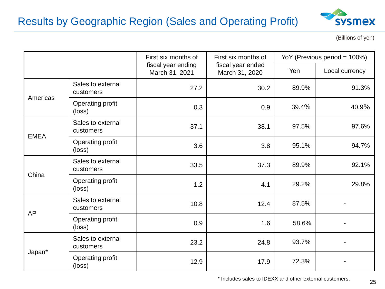

(Billions of yen)

|             |                                | First six months of                  | First six months of                                                                                                         | YoY (Previous period = 100%) |                |  |
|-------------|--------------------------------|--------------------------------------|-----------------------------------------------------------------------------------------------------------------------------|------------------------------|----------------|--|
|             |                                | fiscal year ending<br>March 31, 2021 | fiscal year ended<br>March 31, 2020                                                                                         | Yen                          | Local currency |  |
| Americas    | Sales to external<br>customers | 27.2                                 | 30.2                                                                                                                        | 89.9%                        | 91.3%          |  |
|             | Operating profit<br>(loss)     | 0.3                                  | 0.9<br>39.4%<br>40.9%<br>97.5%<br>97.6%<br>38.1<br>95.1%<br>94.7%<br>3.8<br>89.9%<br>92.1%<br>37.3<br>29.2%<br>29.8%<br>4.1 |                              |                |  |
| <b>EMEA</b> | Sales to external<br>customers | 37.1                                 |                                                                                                                             |                              |                |  |
|             | Operating profit<br>(loss)     | 3.6                                  |                                                                                                                             |                              |                |  |
| China       | Sales to external<br>customers | 33.5                                 |                                                                                                                             |                              |                |  |
|             | Operating profit<br>(loss)     | 1.2                                  |                                                                                                                             |                              |                |  |
| <b>AP</b>   | Sales to external<br>customers | 10.8                                 | 12.4                                                                                                                        | 87.5%                        |                |  |
|             | Operating profit<br>(loss)     | 0.9                                  | 1.6                                                                                                                         | 58.6%                        |                |  |
| Japan*      | Sales to external<br>customers | 23.2                                 | 24.8                                                                                                                        | 93.7%                        |                |  |
|             | Operating profit<br>(loss)     | 12.9                                 | 17.9                                                                                                                        | 72.3%                        |                |  |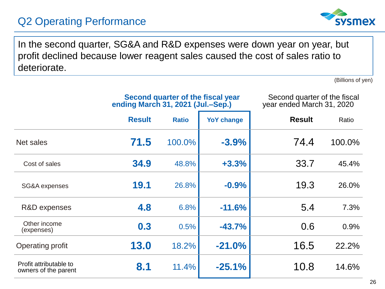## Q2 Operating Performance



In the second quarter, SG&A and R&D expenses were down year on year, but profit declined because lower reagent sales caused the cost of sales ratio to deteriorate.

(Billions of yen)

|                                                | Second quarter of the fiscal year<br>ending March 31, 2021 (Jul.–Sep.) |              |                   | Second quarter of the fiscal<br>year ended March 31, 2020 |        |
|------------------------------------------------|------------------------------------------------------------------------|--------------|-------------------|-----------------------------------------------------------|--------|
|                                                | <b>Result</b>                                                          | <b>Ratio</b> | <b>YoY change</b> | <b>Result</b>                                             | Ratio  |
| Net sales                                      | 71.5                                                                   | 100.0%       | $-3.9%$           | 74.4                                                      | 100.0% |
| Cost of sales                                  | 34.9                                                                   | 48.8%        | $+3.3%$           | 33.7                                                      | 45.4%  |
| SG&A expenses                                  | 19.1                                                                   | 26.8%        | $-0.9%$           | 19.3                                                      | 26.0%  |
| R&D expenses                                   | 4.8                                                                    | 6.8%         | $-11.6%$          | 5.4                                                       | 7.3%   |
| Other income<br>(expenses)                     | 0.3                                                                    | 0.5%         | $-43.7%$          | 0.6                                                       | 0.9%   |
| Operating profit                               | 13.0                                                                   | 18.2%        | $-21.0%$          | 16.5                                                      | 22.2%  |
| Profit attributable to<br>owners of the parent | 8.1                                                                    | 11.4%        | $-25.1%$          | 10.8                                                      | 14.6%  |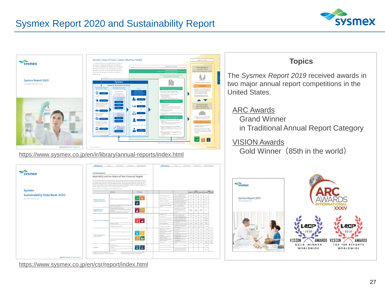